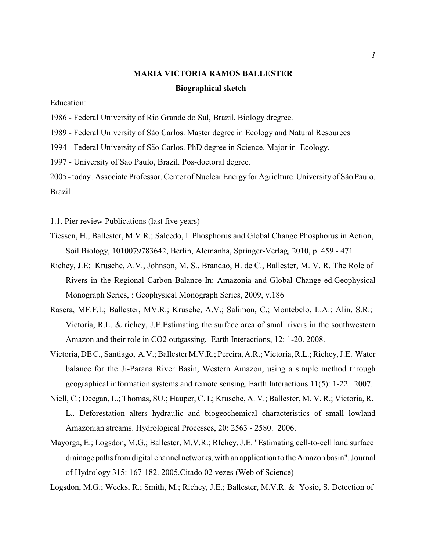## **MARIA VICTORIA RAMOS BALLESTER Biographical sketch**

Education:

1986 - Federal University of Rio Grande do Sul, Brazil. Biology dregree.

1989 - Federal University of São Carlos. Master degree in Ecology and Natural Resources

1994 - Federal University of São Carlos. PhD degree in Science. Major in Ecology.

1997 - University of Sao Paulo, Brazil. Pos-doctoral degree.

2005 - today. Associate Professor. Center of Nuclear Energyfor Agriclture. Universityof São Paulo. Brazil

1.1. Pier review Publications (last five years)

- Tiessen, H., Ballester, M.V.R.; Salcedo, I. Phosphorus and Global Change Phosphorus in Action, Soil Biology, 1010079783642, Berlin, Alemanha, Springer-Verlag, 2010, p. 459 - 471
- Richey, J.E; Krusche, A.V., Johnson, M. S., Brandao, H. de C., Ballester, M. V. R. The Role of Rivers in the Regional Carbon Balance In: Amazonia and Global Change ed.Geophysical Monograph Series, : Geophysical Monograph Series, 2009, v.186
- Rasera, MF.F.L; Ballester, MV.R.; Krusche, A.V.; Salimon, C.; Montebelo, L.A.; Alin, S.R.; Victoria, R.L. & richey, J.E.Estimating the surface area of small rivers in the southwestern Amazon and their role in CO2 outgassing. Earth Interactions, 12: 1-20. 2008.
- Victoria, DE C., Santiago, A.V.; Ballester M.V.R.; Pereira, A.R.; Victoria, R.L.; Richey, J.E. Water balance for the Ji-Parana River Basin, Western Amazon, using a simple method through geographical information systems and remote sensing. Earth Interactions 11(5): 1-22. 2007.
- Niell, C.; Deegan, L.; Thomas, SU.; Hauper, C. L; Krusche, A. V.; Ballester, M. V. R.; Victoria, R. L.. Deforestation alters hydraulic and biogeochemical characteristics of small lowland Amazonian streams. Hydrological Processes, 20: 2563 - 2580. 2006.
- Mayorga, E.; Logsdon, M.G.; Ballester, M.V.R.; RIchey, J.E. "Estimating cell-to-cell land surface drainage paths from digital channel networks,with an application to the Amazon basin". Journal of Hydrology 315: 167-182. 2005.Citado 02 vezes (Web of Science)

Logsdon, M.G.; Weeks, R.; Smith, M.; Richey, J.E.; Ballester, M.V.R. & Yosio, S. Detection of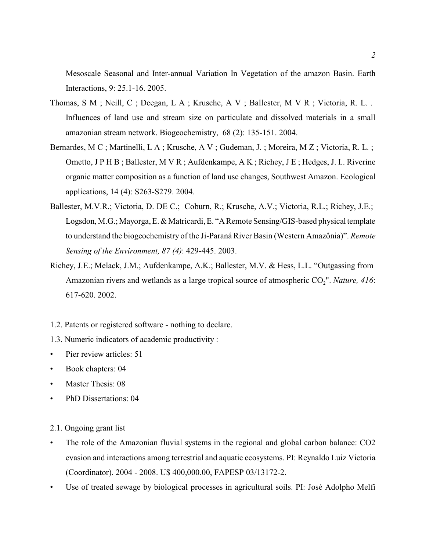Mesoscale Seasonal and Inter-annual Variation In Vegetation of the amazon Basin. Earth Interactions, 9: 25.1-16. 2005.

- Thomas, S M ; Neill, C ; Deegan, L A ; Krusche, A V ; Ballester, M V R ; Victoria, R. L. . Influences of land use and stream size on particulate and dissolved materials in a small amazonian stream network. Biogeochemistry, 68 (2): 135-151. 2004.
- Bernardes, M C ; Martinelli, L A ; Krusche, A V ; Gudeman, J. ; Moreira, M Z ; Victoria, R. L. ; Ometto, J P H B ; Ballester, M V R ; Aufdenkampe, A K ; Richey, J E ; Hedges, J. I.. Riverine organic matter composition as a function of land use changes, Southwest Amazon. Ecological applications, 14 (4): S263-S279. 2004.
- Ballester, M.V.R.; Victoria, D. DE C.; Coburn, R.; Krusche, A.V.; Victoria, R.L.; Richey, J.E.; Logsdon, M.G.; Mayorga, E. & Matricardi, E. "A Remote Sensing/GIS-based physical template to understand the biogeochemistry of the Ji-Paraná River Basin (Western Amazônia)". *Remote Sensing of the Environment, 87 (4)*: 429-445. 2003.
- Richey, J.E.; Melack, J.M.; Aufdenkampe, A.K.; Ballester, M.V. & Hess, L.L. "Outgassing from Amazonian rivers and wetlands as a large tropical source of atmospheric CO<sub>2</sub>". *Nature, 416*: 617-620. 2002.
- 1.2. Patents or registered software nothing to declare.
- 1.3. Numeric indicators of academic productivity :
- Pier review articles: 51
- Book chapters: 04
- Master Thesis: 08
- PhD Dissertations: 04
- 2.1. Ongoing grant list
- The role of the Amazonian fluvial systems in the regional and global carbon balance: CO2 evasion and interactions among terrestrial and aquatic ecosystems. PI: Reynaldo Luiz Victoria (Coordinator). 2004 - 2008. U\$ 400,000.00, FAPESP 03/13172-2.
- Use of treated sewage by biological processes in agricultural soils. PI: José Adolpho Melfi